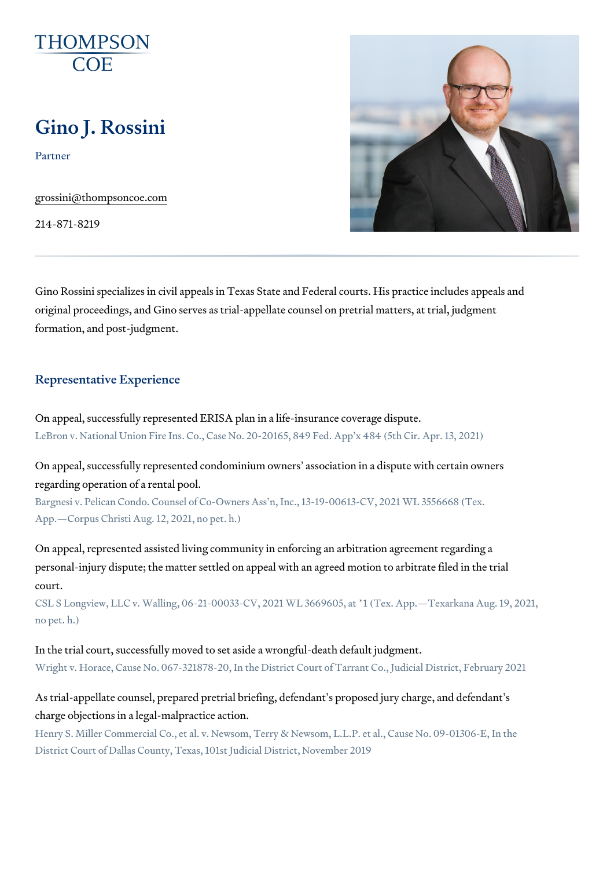# Gino J. Rossini

Partner

[grossini@thompso](mailto:grossini@thompsoncoe.com)ncoe.com

214-871-8219

Gino Rossini specializes in civil appeals in Texas State and Federal courts original proceedings, and Gino serves as trial-appellate counsel on pretria formation, and post-judgment.

#### Representative Experience

On appeal, successfully represented ERISA plan in a life-insurance covera LeBron v. National Union Fire Ins. Co., Case No. 20-20165, 849 Fed. App x 484

On appeal, successfully represented condominium owners association in a regarding operation of a rental pool.

Bargnesi v. Pelican Condo. Counsel of Co-Owners Ass n, Inc., 13-19-00613-CV, App. Corpus Christi Aug. 12, 2021, no pet. h.)

On appeal, represented assisted living community in enforcing an arbitrati personal-injury dispute; the matter settled on appeal with an agreed motio court.

CSL S Longview, LLC v. Walling, 06-21-00033-CV, 2021 WL 3669605, at \*1 (Tex. no pet. h.)

In the trial court, successfully moved to set aside a wrongful-death defaul Wright v. Horace, Cause No. 067-321878-20, In the District Court of Tarrant Co.

As trial-appellate counsel, prepared pretrial briefing, defendant s propose charge objections in a legal-malpractice action.

Henry S. Miller Commercial Co., et al. v. Newsom, Terry & Newsom, L.L.P. et al. District Court of Dallas County, Texas, 101st Judicial District, November 2019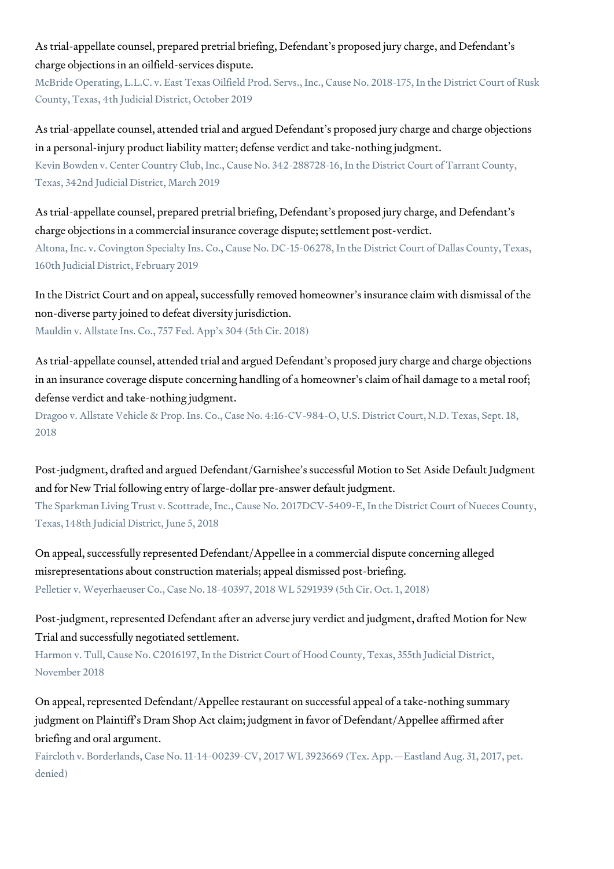As trial-appellate counsel, prepared pretrial briefing, Defendant's proposed jury charge, and Defendant's charge objections in an oilfield-services dispute.

McBride Operating, L.L.C. v. East Texas Oilfield Prod. Servs., Inc., Cause No. 2018-175, In the District Court of Rusk County, Texas, 4th Judicial District, October 2019

As trial-appellate counsel, attended trial and argued Defendant's proposed jury charge and charge objections in a personal-injury product liability matter; defense verdict and take-nothing judgment.

Kevin Bowden v. Center Country Club, Inc., Cause No. 342-288728-16, In the District Court of Tarrant County, Texas, 342nd Judicial District, March 2019

As trial-appellate counsel, prepared pretrial briefing, Defendant's proposed jury charge, and Defendant's charge objections in a commercial insurance coverage dispute; settlement post-verdict.

Altona, Inc. v. Covington Specialty Ins. Co., Cause No. DC-15-06278, In the District Court of Dallas County, Texas, 160th Judicial District, February 2019

In the District Court and on appeal, successfully removed homeowner's insurance claim with dismissal of the non-diverse party joined to defeat diversity jurisdiction. Mauldin v. Allstate Ins. Co., 757 Fed. App'x 304 (5th Cir. 2018)

As trial-appellate counsel, attended trial and argued Defendant's proposed jury charge and charge objections in an insurance coverage dispute concerning handling of a homeowner's claim of hail damage to a metal roof; defense verdict and take-nothing judgment.

Dragoo v. Allstate Vehicle & Prop. Ins. Co., Case No. 4:16-CV-984-O, U.S. District Court, N.D. Texas, Sept. 18, 2018

Post-judgment, drafted and argued Defendant/Garnishee's successful Motion to Set Aside Default Judgment and for New Trial following entry of large-dollar pre-answer default judgment.

The Sparkman Living Trust v. Scottrade, Inc., Cause No. 2017DCV-5409-E, In the District Court of Nueces County, Texas, 148th Judicial District, June 5, 2018

On appeal, successfully represented Defendant/Appellee in a commercial dispute concerning alleged misrepresentations about construction materials; appeal dismissed post-briefing. Pelletier v. Weyerhaeuser Co., Case No. 18-40397, 2018 WL 5291939 (5th Cir. Oct. 1, 2018)

Post-judgment, represented Defendant after an adverse jury verdict and judgment, drafted Motion for New Trial and successfully negotiated settlement.

Harmon v. Tull, Cause No. C2016197, In the District Court of Hood County, Texas, 355th Judicial District, November 2018

On appeal, represented Defendant/Appellee restaurant on successful appeal of a take-nothing summary judgment on Plaintiff's Dram Shop Act claim; judgment in favor of Defendant/Appellee affirmed after briefing and oral argument.

Faircloth v. Borderlands, Case No. 11-14-00239-CV, 2017 WL 3923669 (Tex. App.—Eastland Aug. 31, 2017, pet. denied)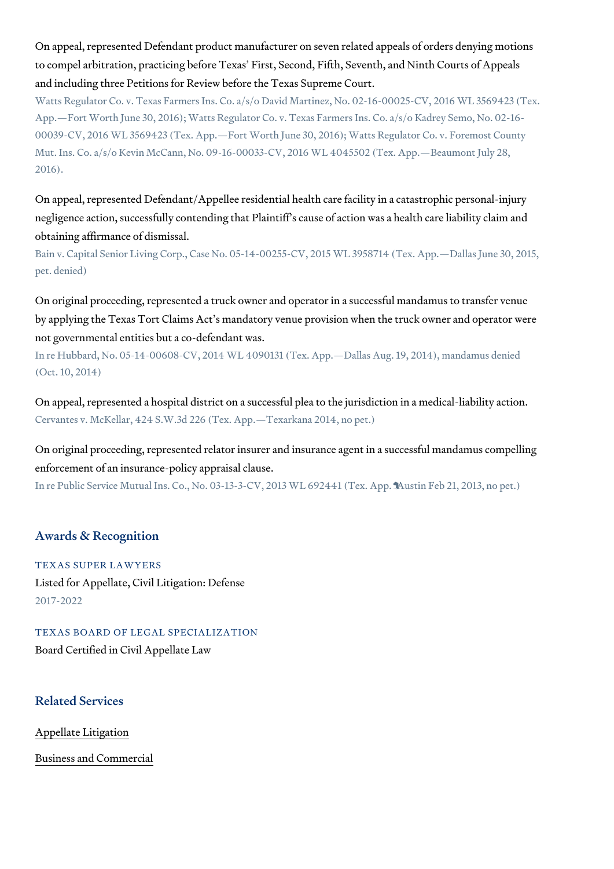On appeal, represented Defendant product manufacturer on seven related a to compel arbitration, practicing before Texas First, Second, Fifth, Seven and including three Petitions for Review before the Texas Supreme Court. Watts Regulator Co. v. Texas Farmers Ins. Co. a/s/o David Martinez, No. 02-16-App. Fort Worth June 30, 2016); Watts Regulator Co. v. Texas Farmers Ins. Co. 00039-CV, 2016 WL 3569423 (Tex. App. Fort Worth June 30, 2016); Watts Regul Mut. Ins. Co. a/s/o Kevin McCann, No. 09-16-00033-CV, 2016 WL 4045502 (Tex. 2016).

On appeal, represented Defendant/Appellee residential health care facility negligence action, successfully contending that Plaintiff s cause of action obtaining affirmance of dismissal.

Bain v. Capital Senior Living Corp., Case No. 05-14-00255-CV, 2015 WL 395871 pet. denied)

On original proceeding, represented a truck owner and operator in a succe by applying the Texas Tort Claims Act s mandatory venue provision when t not governmental entities but a co-defendant was.

In re Hubbard, No. 05-14-00608-CV, 2014 WL 4090131 (Tex. App. Dallas Aug. 19, (Oct. 10, 2014)

On appeal, represented a hospital district on a successful plea to the juris Cervantes v. McKellar, 424 S.W.3d 226 (Tex. App. Texarkana 2014, no pet.)

On original proceeding, represented relator insurer and insurance agent in enforcement of an insurance-policy appraisal clause.

In re Public Service Mutual Ins. Co., No. 03-13-3-CV, 2013 WL 692441 (Tex. App.

#### Awards & Recognition

TEXAS SUPER LAWYERS Listed for Appellate, Civil Litigation: Defense 2017-2022

TEXAS BOARD OF LEGAL SPECIALIZATION Board Certified in Civil Appellate Law

#### Related Services

[Appellate Li](https://www.thompsoncoe.com/people/gino-j-rossini/)tigation

[Business and C](https://www.thompsoncoe.com/people/gino-j-rossini/)ommercial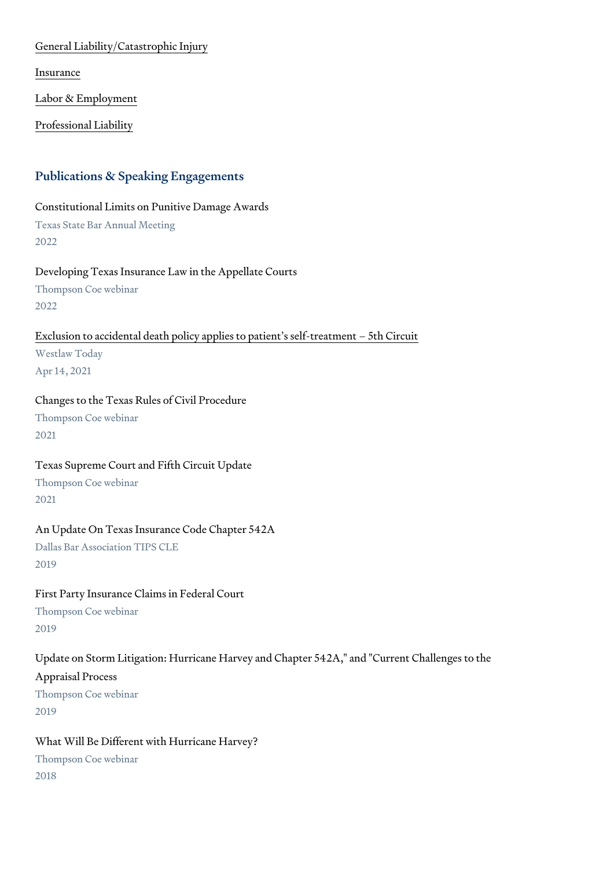[General Liability/Catas](https://www.thompsoncoe.com/people/gino-j-rossini/)trophic Injury

[Insura](https://www.thompsoncoe.com/people/gino-j-rossini/)nce

[Labor & Empl](https://www.thompsoncoe.com/people/gino-j-rossini/)oyment

[Professional](https://www.thompsoncoe.com/people/gino-j-rossini/) Liability

#### Publications & Speaking Engagements

Constitutional Limits on Punitive Damage Awards Texas State Bar Annual Meeting 2022

Developing Texas Insurance Law in the Appellate Courts Thompson Coe webinar 2022

[Exclusion to accidental death policy applies to pa](https://www.thompsoncoe.com/resources/publications/exclusion-to-accidental-death-policy-applies-to-patients-self-treatment-5th-circuit/)tient s self-treatment 5 Westlaw Today Apr 14, 2021

Changes to the Texas Rules of Civil Procedure Thompson Coe webinar 2021

Texas Supreme Court and Fifth Circuit Update Thompson Coe webinar 2021

An Update On Texas Insurance Code Chapter 542A Dallas Bar Association TIPS CLE 2019

First Party Insurance Claims in Federal Court Thompson Coe webinar 2019

Update on Storm Litigation: Hurricane Harvey and Chapter 542A," and "Cur Appraisal Process Thompson Coe webinar 2019

What Will Be Different with Hurricane Harvey? Thompson Coe webinar 2018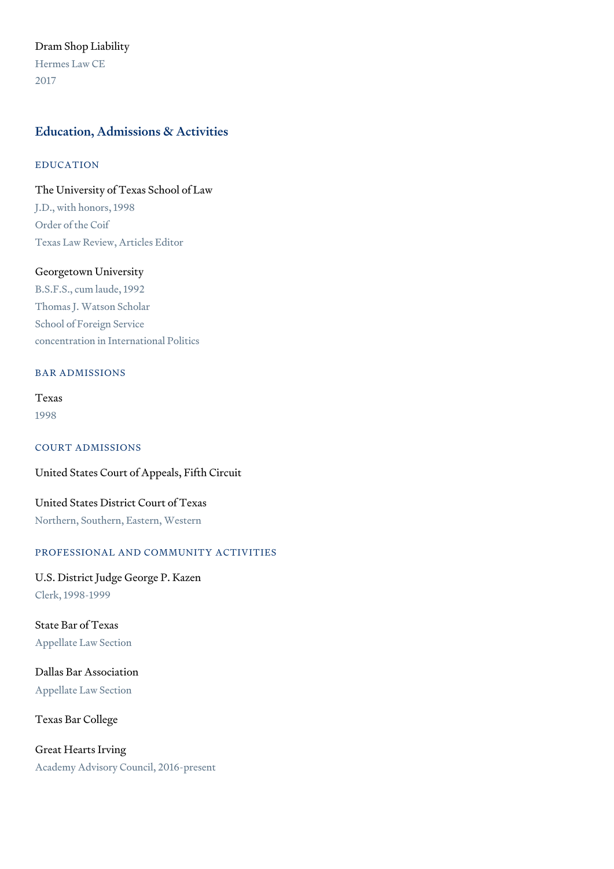# Dram Shop Liability

Hermes Law CE 2017

# Education, Admissions & Activities

#### EDUCATION

# The University of Texas School of Law J.D., with honors, 1998 Order of the Coif

Texas Law Review, Articles Editor

#### Georgetown University

B.S.F.S., cum laude, 1992 Thomas J. Watson Scholar School of Foreign Service concentration in International Politics

#### BAR ADMISSIONS

Texas 1998

# COURT ADMISSIONS

#### United States Court of Appeals, Fifth Circuit

United States District Court of Texas Northern, Southern, Eastern, Western

#### PROFESSIONAL AND COMMUNITY ACTIVITIES

U.S. District Judge George P. Kazen Clerk, 1998-1999

State Bar of Texas Appellate Law Section

Dallas Bar Association Appellate Law Section

Texas Bar College

Great Hearts Irving Academy Advisory Council, 2016-present